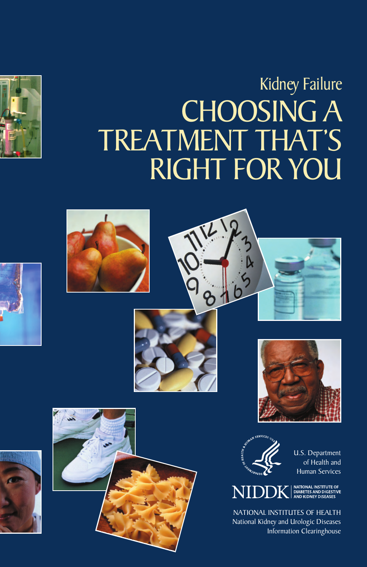

# RIGHT FOR YOU Kidney Failure CHOOSING A TREATMENT THAT'S











U.S. Department of Health and Human Services

NATIONAL INSTITUTE OF DIABETES AND DIGESTIVE Ж

NATIONAL INSTITUTES OF HEALTH National Kidney and Urologic Diseases Information Clearinghouse



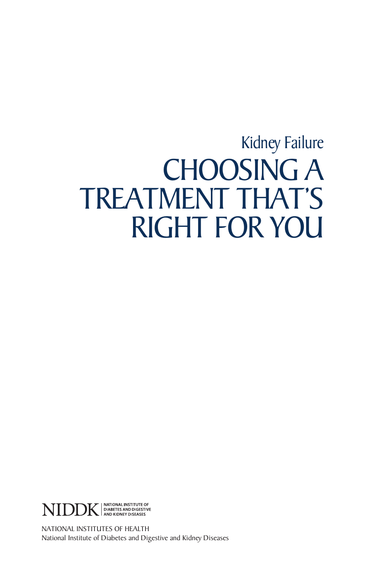# RIGHT FOR YOU Kidney Failure CHOOSING A TREATMENT THAT'S



NATIONAL INSTITUTES OF HEALTH National Institute of Diabetes and Digestive and Kidney Diseases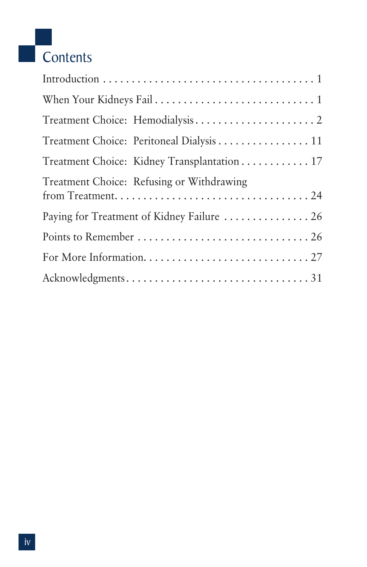# **Contents**

| Treatment Choice: Peritoneal Dialysis 11    |
|---------------------------------------------|
| Treatment Choice: Kidney Transplantation 17 |
| Treatment Choice: Refusing or Withdrawing   |
| Paying for Treatment of Kidney Failure  26  |
|                                             |
|                                             |
|                                             |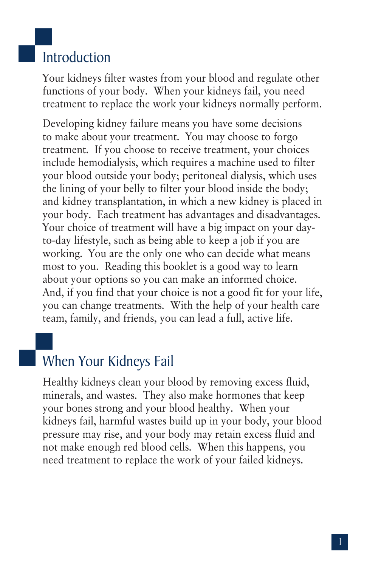# **Introduction**

Your kidneys filter wastes from your blood and regulate other functions of your body. When your kidneys fail, you need treatment to replace the work your kidneys normally perform.

your body. Each treatment has advantages and disadvantages. about your options so you can make an informed choice. Developing kidney failure means you have some decisions to make about your treatment. You may choose to forgo treatment. If you choose to receive treatment, your choices include hemodialysis, which requires a machine used to filter your blood outside your body; peritoneal dialysis, which uses the lining of your belly to filter your blood inside the body; and kidney transplantation, in which a new kidney is placed in Your choice of treatment will have a big impact on your dayto-day lifestyle, such as being able to keep a job if you are working. You are the only one who can decide what means most to you. Reading this booklet is a good way to learn And, if you find that your choice is not a good fit for your life, you can change treatments. With the help of your health care team, family, and friends, you can lead a full, active life.

### When Your Kidneys Fail

Healthy kidneys clean your blood by removing excess fluid, minerals, and wastes. They also make hormones that keep your bones strong and your blood healthy. When your kidneys fail, harmful wastes build up in your body, your blood pressure may rise, and your body may retain excess fluid and not make enough red blood cells. When this happens, you need treatment to replace the work of your failed kidneys.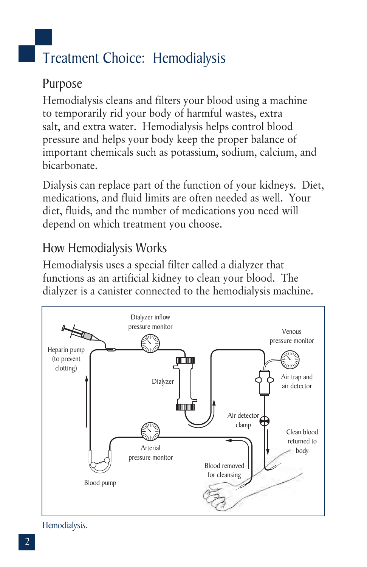# **Treatment Choice: Hemodialysis**

#### Purpose

Hemodialysis cleans and filters your blood using a machine to temporarily rid your body of harmful wastes, extra salt, and extra water. Hemodialysis helps control blood pressure and helps your body keep the proper balance of important chemicals such as potassium, sodium, calcium, and bicarbonate .

Dialysis can replace part of the function of your kidneys. Diet, medications, and fluid limits are often needed as well. Your diet, fluids, and the number of medications you need will depend on which treatment you choose.

#### How Hemodialysis Works

dialyzer is a canister connected to the hemodialysis machine. Hemodialysis uses a special filter called a dialyzer that functions as an artificial kidney to clean your blood. The



Hemodialysis.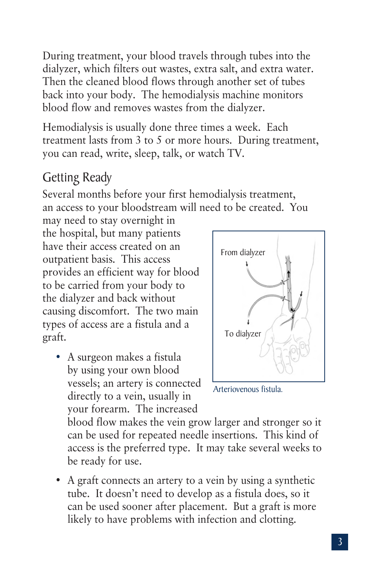dialyzer, which filters out wastes, extra salt, and extra water.<br>Then the cleaned blood flows through another set of tubes During treatment, your blood travels through tubes into the back into your body. The hemodialysis machine monitors blood flow and removes wastes from the dialyzer .

Hemodialysis is usually done three times a week. Each treatment lasts from 3 to 5 or more hours. During treatment, you can read, write, sleep, talk, or watch TV.

#### Getting Ready

Several months before your first hemodialysis treatment, an access to your bloodstream will need to be created. You

 types of access are a fistula and a may need to stay overnight in the hospital, but many patients have their access created on an outpatient basis. This access provides an efficient way for blood to be carried from your body to the dialyzer and back without causing discomfort. The two main graft.

• A surgeon makes a fistula by using your own blood vessels; an artery is connected directly to a vein, usually in your forearm. The increased



Arteriovenous fistula.

blood flow makes the vein grow larger and stronger so it can be used for repeated needle insertions. This kind of access is the preferred type. It may take several weeks to be ready for use.

• A graft connects an artery to a vein by using a synthetic tube. It doesn't need to develop as a fistula does, so it can be used sooner after placement. But a graft is more likely to have problems with infection and clotting.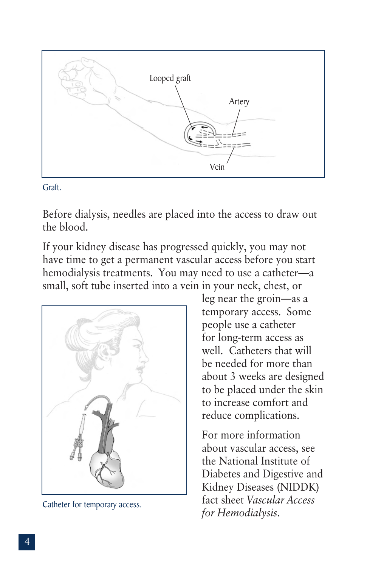

#### Graft.

Before dialysis, needles are placed into the access to draw out the blood.

hemodialysis treatments. You may need to use a catheter—a If your kidney disease has progressed quickly, you may not have time to get a permanent vascular access before you start small, soft tube inserted into a vein in your neck, chest, or



leg near the groin—as a temporary access. Some people use a catheter for long-term access as well. Catheters that will be needed for more than about 3 weeks are designed to be placed under the skin to increase comfort and reduce complications.

For more information about vascular access, see the National Institute of Diabetes and Digestive and Kidney Diseases (NIDDK) fact sheet *Vascular Access* Catheter for temporary access.<br>*for Hemodialysis*.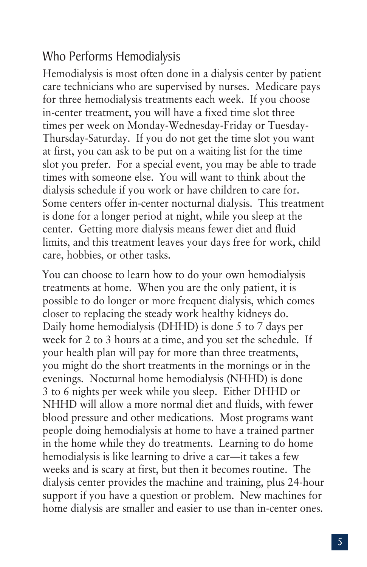#### Who Performs Hemodialysis

dialysis schedule if you work or have children to care for. Hemodialysis is most often done in a dialysis center by patient care technicians who are supervised by nurses. Medicare pays for three hemodialysis treatments each week. If you choose in-center treatment, you will have a fixed time slot three times per week on Monday-Wednesday-Friday or Tuesday-Thursday-Saturday. If you do not get the time slot you want at first, you can ask to be put on a waiting list for the time slot you prefer. For a special event, you may be able to trade times with someone else. You will want to think about the Some centers offer in-center nocturnal dialysis. This treatment is done for a longer period at night, while you sleep at the center. Getting more dialysis means fewer diet and fluid limits, and this treatment leaves your days free for work, child care, hobbies, or other tasks.

closer to replacing the steady work healthy kidneys do. You can choose to learn how to do your own hemodialysis treatments at home. When you are the only patient, it is possible to do longer or more frequent dialysis, which comes Daily home hemodialysis (DHHD) is done 5 to 7 days per week for 2 to 3 hours at a time, and you set the schedule. If your health plan will pay for more than three treatments, you might do the short treatments in the mornings or in the evenings. Nocturnal home hemodialysis (NHHD) is done 3 to 6 nights per week while you sleep. Either DHHD or NHHD will allow a more normal diet and fluids, with fewer blood pressure and other medications. Most programs want people doing hemodialysis at home to have a trained partner in the home while they do treatments. Learning to do home hemodialysis is like learning to drive a car—it takes a few weeks and is scary at first, but then it becomes routine. The dialysis center provides the machine and training, plus 24-hour support if you have a question or problem. New machines for home dialysis are smaller and easier to use than in-center ones.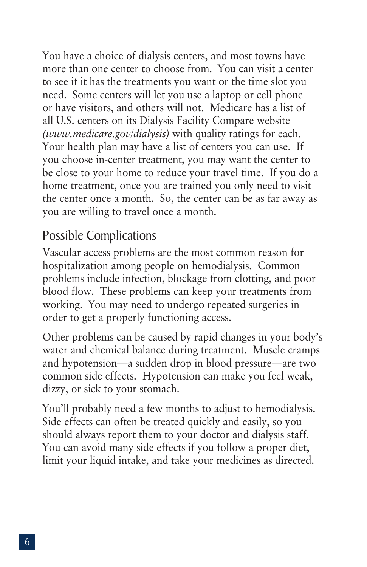(www.medicare.gov/dialysis) with quality ratings for each. You have a choice of dialysis centers, and most towns have more than one center to choose from. You can visit a center to see if it has the treatments you want or the time slot you need. Some centers will let you use a laptop or cell phone or have visitors, and others will not. Medicare has a list of all U.S. centers on its Dialysis Facility Compare website Your health plan may have a list of centers you can use. If you choose in-center treatment, you may want the center to be close to your home to reduce your travel time. If you do a home treatment, once you are trained you only need to visit the center once a month. So, the center can be as far away as you are willing to travel once a month.

#### Possible Complications

Vascular access problems are the most common reason for hospitalization among people on hemodialysis. Common problems include infection, blockage from clotting, and poor blood flow. These problems can keep your treatments from working. You may need to undergo repeated surgeries in order to get a properly functioning access .

Other problems can be caused by rapid changes in your body's water and chemical balance during treatment. Muscle cramps and hypotension—a sudden drop in blood pressure—are two common side effects. Hypotension can make you feel weak, dizzy, or sick to your stomach.

You'll probably need a few months to adjust to hemodialysis. should always report them to your doctor and dialysis staff. Side effects can often be treated quickly and easily, so you You can avoid many side effects if you follow a proper diet, limit your liquid intake, and take your medicines as directed.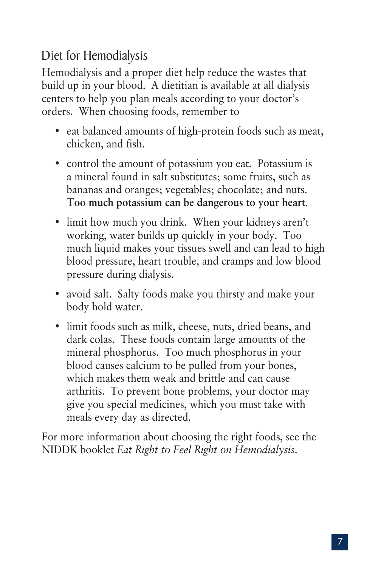#### Diet for Hemodialysis

Hemodialysis and a proper diet help reduce the wastes that build up in your blood. A dietitian is available at all dialysis centers to help you plan meals according to your doctor's orders. When choosing foods, remember to

- eat balanced amounts of high-protein foods such as meat, chicken, and fish.
- bananas and oranges; vegetables; chocolate; and nuts . • control the amount of potassium you eat. Potassium is a mineral found in salt substitutes; some fruits, such as Too much potassium can be dangerous to your heart.
- limit how much you drink. When your kidneys aren't working, water builds up quickly in your body. Too much liquid makes your tissues swell and can lead to high blood pressure, heart trouble, and cramps and low blood pressure during dialysis.
- avoid salt. Salty foods make you thirsty and make your body hold water.
- limit foods such as milk, cheese, nuts, dried beans, and dark colas. These foods contain large amounts of the mineral phosphorus . Too much phosphorus in your blood causes calcium to be pulled from your bones, which makes them weak and brittle and can cause arthritis. To prevent bone problems, your doctor may give you special medicines, which you must take with meals every day as directed.

For more information about choosing the right foods, see the NIDDK booklet *Eat Right to Feel Right on Hemodialysis* .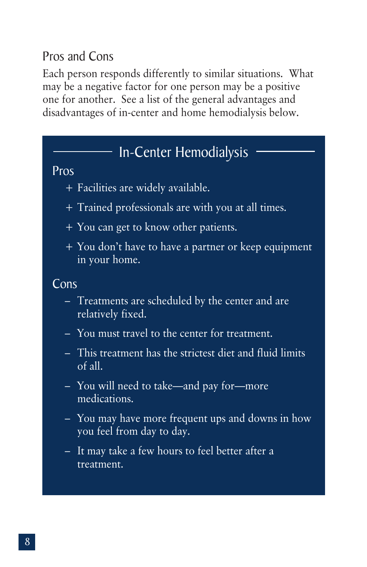#### Pros and Cons

Each person responds differently to similar situations. What may be a negative factor for one person may be a positive one for another. See a list of the general advantages and disadvantages of in-center and home hemodialysis below.

#### In-Center Hemodialysis

#### Pros

- + Facilities are widely available .
- + Trained professionals are with you at all times .
- + You can get to know other patients .
- + You don't have to have a partner or keep equipment in your home.

#### **Cons**

- Treatments are scheduled by the center and are relatively fixed.
- You must travel to the center for treatment.
- – This treatment has the strictest diet and fluid limits of all.
- – You will need to take—and pay for—more medications.
- You may have more frequent ups and downs in how you feel from day to day.
- – It may take a few hours to feel better after a treatment.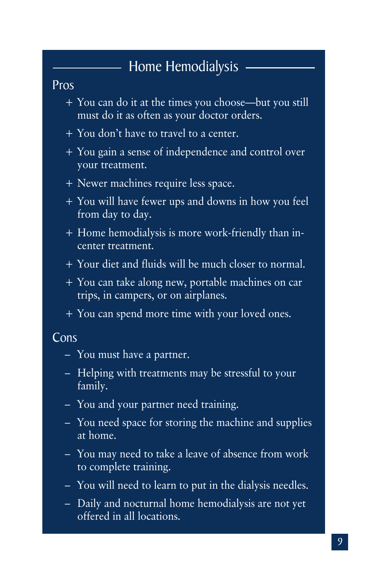#### Home Hemodialysis

#### Pros

- + You can do it at the times you choose—but you still must do it as often as your doctor orders.
- + You don't have to travel to a center .
- + You gain a sense of independence and control over your treatment.
- + Newer machines require less space .
- + You will have fewer ups and downs in how you feel from day to day.
- + Home hemodialysis is more work-friendly than incenter treatment.
- + Your diet and fluids will be much closer to normal .
- + You can take along new, portable machines on car trips, in campers, or on airplanes.
- + You can spend more time with your loved ones .

#### **Cons**

- You must have a partner.
- Helping with treatments may be stressful to your family.
- You and your partner need training.
- You need space for storing the machine and supplies at home.
- You may need to take a leave of absence from work to complete training.
- You will need to learn to put in the dialysis needles.
- Daily and nocturnal home hemodialysis are not yet offered in all locations .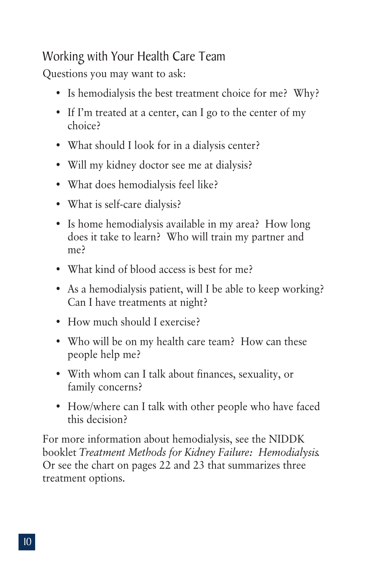#### Working with Your Health Care Team

Questions you may want to ask:

- Is hemodialysis the best treatment choice for me? Why?
- If I'm treated at a center, can I go to the center of my choice?
- What should I look for in a dialysis center?
- Will my kidney doctor see me at dialysis?
- What does hemodialysis feel like?
- What is self-care dialysis?
- Is home hemodialysis available in my area? How long does it take to learn? Who will train my partner and me?
- What kind of blood access is best for me?
- As a hemodialysis patient, will I be able to keep working? Can I have treatments at night?
- How much should I exercise?
- Who will be on my health care team? How can these people help me?
- With whom can I talk about finances, sexuality, or family concerns?
- How/where can I talk with other people who have faced this decision?

For more information about hemodialysis, see the NIDDK booklet *Treatment Methods for Kidney Failure: Hemodialysis* . Or see the chart on pages 22 and 23 that summarizes three treatment options.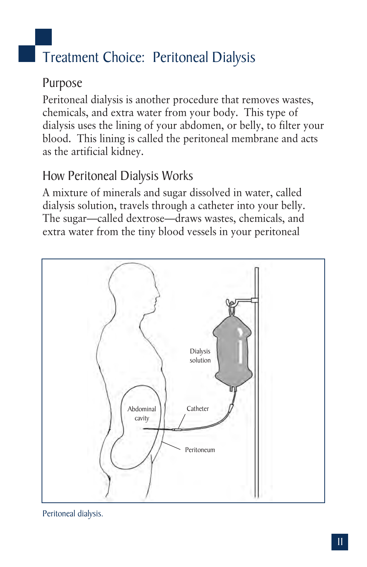# Treatment Choice: Peritoneal Dialysis

#### Purpose

Peritoneal dialysis is another procedure that removes wastes, chemicals, and extra water from your body. This type of dialysis uses the lining of your abdomen, or belly, to filter your blood. This lining is called the peritoneal membrane and acts as the artificial kidney.

#### How Peritoneal Dialysis Works

A mixture of minerals and sugar dissolved in water, called dialysis solution, travels through a catheter into your belly.<br>The sugar—called dextrose—draws wastes, chemicals, and extra water from the tiny blood vessels in your peritoneal



Peritoneal dialysis.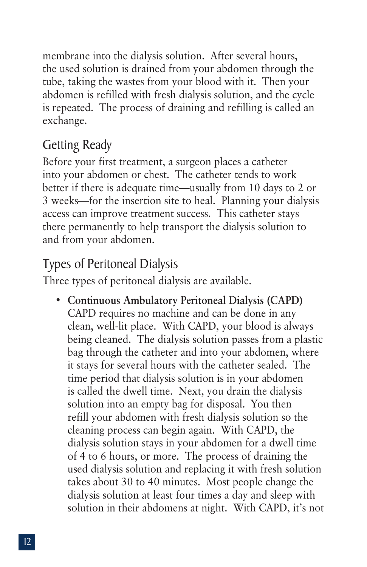membrane into the dialysis solution. After several hours, the used solution is drained from your abdomen through the tube, taking the wastes from your blood with it. Then your abdomen is refilled with fresh dialysis solution, and the cycle is repeated. The process of draining and refilling is called an exchange.

## Getting Ready

Before your first treatment, a surgeon places a catheter into your abdomen or chest. The catheter tends to work better if there is adequate time—usually from 10 days to 2 or 3 weeks—for the insertion site to heal. Planning your dialysis access can improve treatment success. This catheter stays there permanently to help transport the dialysis solution to and from your abdomen.

#### Types of Peritoneal Dialysis

Three types of peritoneal dialysis are available.

• **Continuous Ambulatory Peritoneal Dialysis (CAPD)**  CAPD requires no machine and can be done in any clean, well-lit place. With CAPD, your blood is always being cleaned. The dialysis solution passes from a plastic bag through the catheter and into your abdomen, where it stays for several hours with the catheter sealed. The time period that dialysis solution is in your abdomen is called the dwell time. Next, you drain the dialysis solution into an empty bag for disposal. You then refill your abdomen with fresh dialysis solution so the cleaning process can begin again. With CAPD, the dialysis solution stays in your abdomen for a dwell time of 4 to 6 hours, or more. The process of draining the used dialysis solution and replacing it with fresh solution takes about 30 to 40 minutes. Most people change the dialysis solution at least four times a day and sleep with solution in their abdomens at night. With CAPD, it's not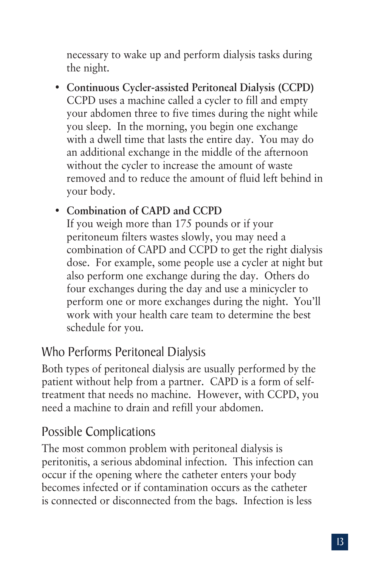necessary to wake up and perform dialysis tasks during the night.

• **Continuous Cycler-assisted Peritoneal Dialysis (CCPD)**  CCPD uses a machine called a cycler to fill and empty your abdomen three to five times during the night while you sleep. In the morning, you begin one exchange with a dwell time that lasts the entire day. You may do an additional exchange in the middle of the afternoon without the cycler to increase the amount of waste removed and to reduce the amount of fluid left behind in your body.

#### • **Combination of CAPD and CCPD**

 peritoneum filters wastes slowly, you may need a If you weigh more than 175 pounds or if your combination of CAPD and CCPD to get the right dialysis dose. For example, some people use a cycler at night but also perform one exchange during the day. Others do four exchanges during the day and use a minicycler to perform one or more exchanges during the night. You'll work with your health care team to determine the best schedule for you.

#### Who Performs Peritoneal Dialysis

Both types of peritoneal dialysis are usually performed by the patient without help from a partner. CAPD is a form of selftreatment that needs no machine. However, with CCPD, you need a machine to drain and refill your abdomen.

#### Possible Complications

The most common problem with peritoneal dialysis is peritonitis, a serious abdominal infection . This infection can occur if the opening where the catheter enters your body becomes infected or if contamination occurs as the catheter is connected or disconnected from the bags. Infection is less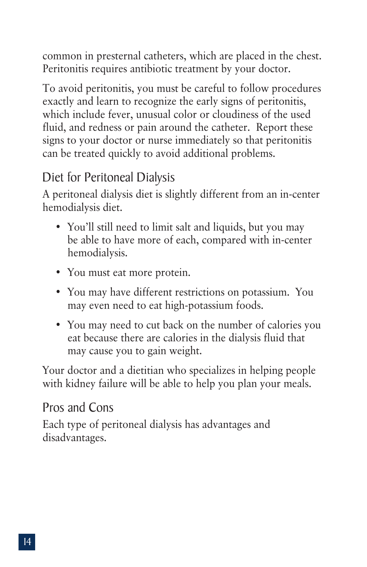common in presternal catheters, which are placed in the chest. Peritonitis requires antibiotic treatment by your doctor.

To avoid peritonitis, you must be careful to follow procedures exactly and learn to recognize the early signs of peritonitis, which include fever, unusual color or cloudiness of the used fluid, and redness or pain around the catheter. Report these signs to your doctor or nurse immediately so that peritonitis can be treated quickly to avoid additional problems.

#### Diet for Peritoneal Dialysis

A peritoneal dialysis diet is slightly different from an in-center hemodialysis diet.

- You'll still need to limit salt and liquids, but you may be able to have more of each, compared with in-center hemodialysis.
- You must eat more protein.
- You may have different restrictions on potassium. You may even need to eat high-potassium foods.
- You may need to cut back on the number of calories you eat because there are calories in the dialysis fluid that may cause you to gain weight.

Your doctor and a dietitian who specializes in helping people with kidney failure will be able to help you plan your meals.

#### Pros and Cons

Each type of peritoneal dialysis has advantages and disadvantages.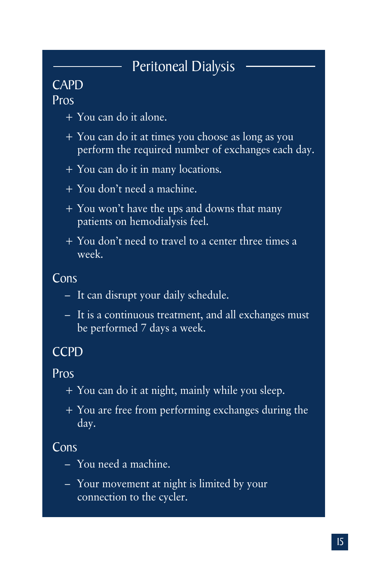## Peritoneal Dialysis

#### **CAPD** Pros

- + You can do it alone.
- + You can do it at times you choose as long as you perform the required number of exchanges each day .
- + You can do it in many locations.
- + You don't need a machine.
- + You won't have the ups and downs that many patients on hemodialysis feel.
- + You don't need to travel to a center three times a week.

#### Cons

- It can disrupt your daily schedule.
- It is a continuous treatment, and all exchanges must be performed 7 days a week.

#### **CCPD**

#### Pros

- + You can do it at night, mainly while you sleep .
- + You are free from performing exchanges during the day.

#### Cons

- – You need a machine .
- – Your movement at night is limited by your connection to the cycler.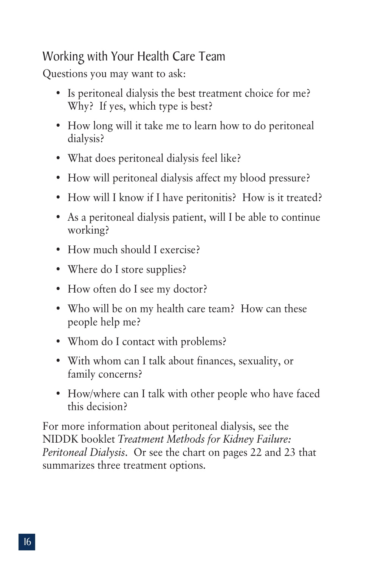#### Working with Your Health Care Team

Questions you may want to ask:

- Is peritoneal dialysis the best treatment choice for me? Why? If yes, which type is best?
- How long will it take me to learn how to do peritoneal dialysis?
- What does peritoneal dialysis feel like?
- How will peritoneal dialysis affect my blood pressure?
- How will I know if I have peritonitis? How is it treated?
- As a peritoneal dialysis patient, will I be able to continue working?
- How much should I exercise?
- Where do I store supplies?
- How often do I see my doctor?
- Who will be on my health care team? How can these people help me?
- Whom do I contact with problems?
- With whom can I talk about finances, sexuality, or family concerns?
- How/where can I talk with other people who have faced this decision?

For more information about peritoneal dialysis, see the NIDDK booklet *Treatment Methods for Kidney Failure: Peritoneal Dialysis* . Or see the chart on pages 22 and 23 that summarizes three treatment options.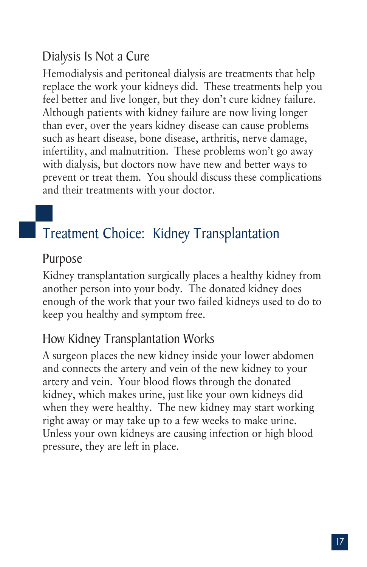#### Dialysis Is Not a Cure

Hemodialysis and peritoneal dialysis are treatments that help replace the work your kidneys did. These treatments help you feel better and live longer, but they don't cure kidney failure . Although patients with kidney failure are now living longer than ever, over the years kidney disease can cause problems such as heart disease, bone disease, arthritis, nerve damage, infertility, and malnutrition. These problems won't go away with dialysis, but doctors now have new and better ways to prevent or treat them. You should discuss these complications and their treatments with your doctor.

# Treatment Choice: Kidney Transplantation

#### Purpose

Kidney transplantation surgically places a healthy kidney from another person into your body. The donated kidney does enough of the work that your two failed kidneys used to do to keep you healthy and symptom free .

#### How Kidney Transplantation Works

right away or may take up to a few weeks to make urine. A surgeon places the new kidney inside your lower abdomen and connects the artery and vein of the new kidney to your artery and vein. Your blood flows through the donated kidney, which makes urine, just like your own kidneys did when they were healthy. The new kidney may start working Unless your own kidneys are causing infection or high blood pressure, they are left in place.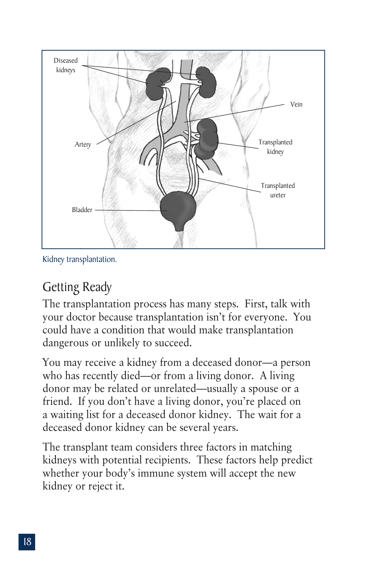

Kidney transplantation.

# Getting Ready

The transplantation process has many steps. First, talk with your doctor because transplantation isn't for everyone. You could have a condition that would make transplantation dangerous or unlikely to succeed.

 donor may be related or unrelated—usually a spouse or a You may receive a kidney from a deceased donor—a person who has recently died—or from a living donor. A living friend. If you don't have a living donor, you're placed on a waiting list for a deceased donor kidney. The wait for a deceased donor kidney can be several years.

The transplant team considers three factors in matching kidneys with potential recipients. These factors help predict whether your body's immune system will accept the new kidney or reject it.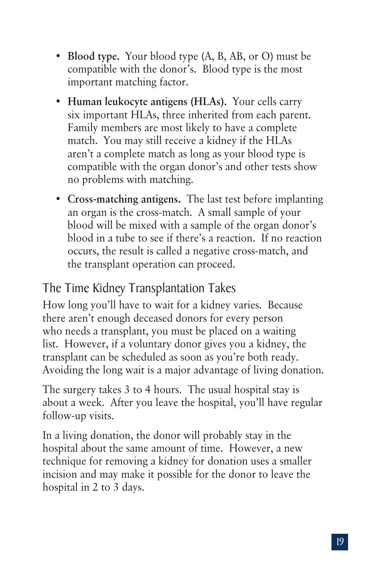- **Blood type.** Your blood type (A, B, AB, or O) must be compatible with the donor's. Blood type is the most important matching factor.
- six important HLAs, three inherited from each parent. • **Human leukocyte antigens (HLAs).** Your cells carry Family members are most likely to have a complete match. You may still receive a kidney if the HLAs aren't a complete match as long as your blood type is compatible with the organ donor's and other tests show no problems with matching.
- • **Cross-matching antigens.** The last test before implanting an organ is the cross-match . A small sample of your blood will be mixed with a sample of the organ donor's blood in a tube to see if there's a reaction. If no reaction occurs, the result is called a negative cross-match, and the transplant operation can proceed.

#### The Time Kidney Transplantation Takes

How long you'll have to wait for a kidney varies. Because there aren't enough deceased donors for every person who needs a transplant, you must be placed on a waiting list. However, if a voluntary donor gives you a kidney, the transplant can be scheduled as soon as you're both ready . Avoiding the long wait is a major advantage of living donation .

The surgery takes 3 to 4 hours. The usual hospital stay is about a week. After you leave the hospital, you'll have regular follow-up visits.

In a living donation, the donor will probably stay in the hospital about the same amount of time. However, a new technique for removing a kidney for donation uses a smaller incision and may make it possible for the donor to leave the hospital in 2 to 3 days.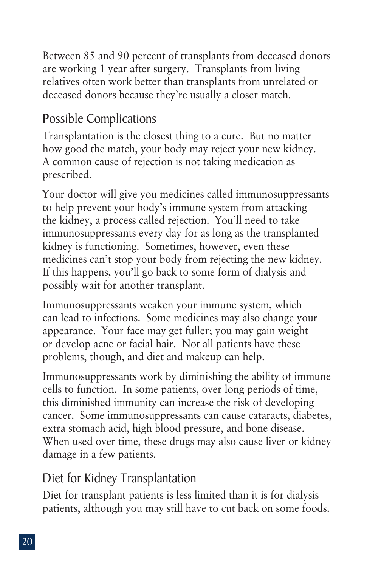Between 85 and 90 percent of transplants from deceased donors are working 1 year after surgery. Transplants from living relatives often work better than transplants from unrelated or deceased donors because they're usually a closer match.

#### Possible Complications

how good the match, your body may reject your new kidney. Transplantation is the closest thing to a cure. But no matter A common cause of rejection is not taking medication as prescribed.

medicines can't stop your body from rejecting the new kidney. Your doctor will give you medicines called immunosuppressants to help prevent your body's immune system from attacking the kidney, a process called rejection. You'll need to take immunosuppressants every day for as long as the transplanted kidney is functioning. Sometimes, however, even these If this happens, you'll go back to some form of dialysis and possibly wait for another transplant.

Immunosuppressants weaken your immune system, which can lead to infections. Some medicines may also change your appearance. Your face may get fuller; you may gain weight or develop acne or facial hair. Not all patients have these problems, though, and diet and makeup can help.

cancer. Some immunosuppressants can cause cataracts, diabetes, Immunosuppressants work by diminishing the ability of immune cells to function. In some patients, over long periods of time, this diminished immunity can increase the risk of developing extra stomach acid, high blood pressure, and bone disease.<br>When used over time, these drugs may also cause liver or kidney damage in a few patients.

#### Diet for Kidney Transplantation

Diet for transplant patients is less limited than it is for dialysis patients, although you may still have to cut back on some foods.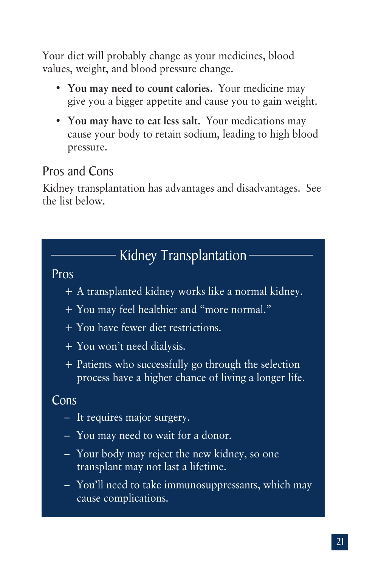Your diet will probably change as your medicines, blood values, weight, and blood pressure change.

- • **You may need to count calories.** Your medicine may give you a bigger appetite and cause you to gain weight.
- You may have to eat less salt. Your medications may cause your body to retain sodium, leading to high blood pressure.

#### Pros and Cons

Kidney transplantation has advantages and disadvantages. See the list below.

# - Kidney Transplantation <del>·</del>

i<br>I

Pros

- + A transplanted kidney works like a normal kidney .
- + You may feel healthier and "more normal ."
- + You have fewer diet restrictions .
- + You won't need dialysis.
- + Patients who successfully go through the selection process have a higher chance of living a longer life.

#### Cons

- It requires major surgery.
- You may need to wait for a donor.
- – Your body may reject the new kidney, so one transplant may not last a lifetime .
- – You'll need to take immunosuppressants, which may cause complications.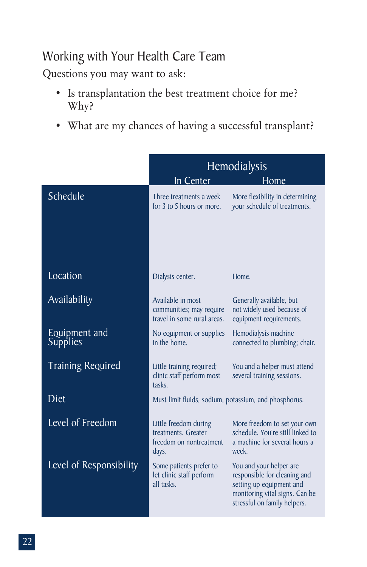#### Working with Your Health Care Team

Questions you may want to ask:

- Is transplantation the best treatment choice for me? Why?
- What are my chances of having a successful transplant?

|                           | Hemodialysis<br>In Center                                                        |                                                                                                                                                       |  |
|---------------------------|----------------------------------------------------------------------------------|-------------------------------------------------------------------------------------------------------------------------------------------------------|--|
| Schedule                  | Three treatments a week<br>for 3 to 5 hours or more.                             | Home<br>More flexibility in determining<br>your schedule of treatments.                                                                               |  |
| Location                  | Dialysis center.                                                                 | Home.                                                                                                                                                 |  |
| Availability              | Available in most<br>communities; may require<br>travel in some rural areas.     | Generally available, but<br>not widely used because of<br>equipment requirements.                                                                     |  |
| Equipment and<br>Supplies | No equipment or supplies<br>in the home.                                         | Hemodialysis machine<br>connected to plumbing; chair.                                                                                                 |  |
| <b>Training Required</b>  | Little training required;<br>clinic staff perform most<br>tasks.                 | You and a helper must attend<br>several training sessions.                                                                                            |  |
| Diet                      | Must limit fluids, sodium, potassium, and phosphorus.                            |                                                                                                                                                       |  |
| Level of Freedom          | Little freedom during<br>treatments. Greater<br>freedom on nontreatment<br>days. | More freedom to set your own<br>schedule. You're still linked to<br>a machine for several hours a<br>week.                                            |  |
| Level of Responsibility   | Some patients prefer to<br>let clinic staff perform<br>all tasks.                | You and your helper are<br>responsible for cleaning and<br>setting up equipment and<br>monitoring vital signs. Can be<br>stressful on family helpers. |  |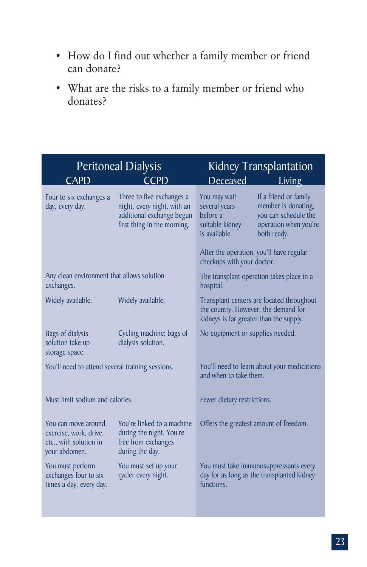- How do I find out whether a family member or friend can donate?
- What are the risks to a family member or friend who donates?

| <b>Peritoneal Dialysis</b>                                                                                          |                                                                                                                      | Kidney Transplantation                                                                                                       |                                                                                                              |  |
|---------------------------------------------------------------------------------------------------------------------|----------------------------------------------------------------------------------------------------------------------|------------------------------------------------------------------------------------------------------------------------------|--------------------------------------------------------------------------------------------------------------|--|
| <b>CAPD</b>                                                                                                         | <b>CCPD</b>                                                                                                          | Deceased                                                                                                                     | Living                                                                                                       |  |
| Four to six exchanges a<br>day, every day.                                                                          | Three to five exchanges a<br>night, every night, with an<br>additional exchange begun<br>first thing in the morning. | You may wait<br>several years<br>before a<br>suitable kidney<br>is available.                                                | If a friend or family<br>member is donating,<br>you can schedule the<br>operation when you're<br>both ready. |  |
|                                                                                                                     |                                                                                                                      | After the operation, you'll have regular<br>checkups with your doctor.                                                       |                                                                                                              |  |
| Any clean environment that allows solution<br>exchanges.                                                            |                                                                                                                      | The transplant operation takes place in a<br>hospital.                                                                       |                                                                                                              |  |
| Widely available.                                                                                                   | Widely available.                                                                                                    | Transplant centers are located throughout<br>the country. However, the demand for<br>kidneys is far greater than the supply. |                                                                                                              |  |
| Bags of dialysis<br>solution take up<br>storage space.                                                              | Cycling machine; bags of<br>dialysis solution.                                                                       | No equipment or supplies needed.                                                                                             |                                                                                                              |  |
| You'll need to attend several training sessions.                                                                    |                                                                                                                      | You'll need to learn about your medications<br>and when to take them.                                                        |                                                                                                              |  |
| Must limit sodium and calories.                                                                                     |                                                                                                                      | Fewer dietary restrictions.                                                                                                  |                                                                                                              |  |
| You can move around.<br>exercise, work, drive,<br>etc., with solution in<br>your abdomen.                           | You're linked to a machine<br>during the night. You're<br>free from exchanges<br>during the day.                     | Offers the greatest amount of freedom.                                                                                       |                                                                                                              |  |
| You must perform<br>You must set up your<br>cycler every night.<br>exchanges four to six<br>times a day, every day. |                                                                                                                      | You must take immunosuppressants every<br>day for as long as the transplanted kidney<br>functions.                           |                                                                                                              |  |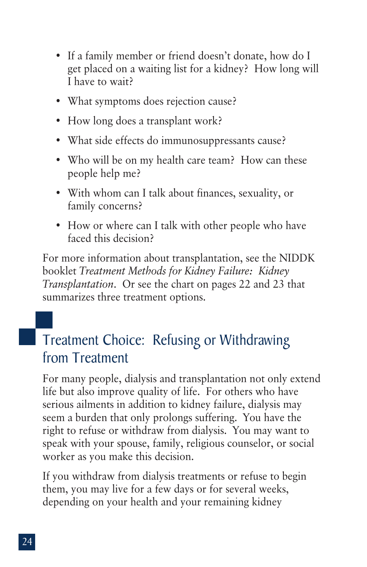- If a family member or friend doesn't donate, how do I get placed on a waiting list for a kidney? How long will I have to wait?
- What symptoms does rejection cause?
- How long does a transplant work?
- What side effects do immunosuppressants cause?
- Who will be on my health care team? How can these people help me?
- With whom can I talk about finances, sexuality, or family concerns?
- How or where can I talk with other people who have faced this decision?

For more information about transplantation, see the NIDDK booklet *Treatment Methods for Kidney Failure: Kidney Transplantation*. Or see the chart on pages 22 and 23 that summarizes three treatment options.

# Treatment Choice: Refusing or Withdrawing from Treatment

For many people, dialysis and transplantation not only extend life but also improve quality of life. For others who have serious ailments in addition to kidney failure, dialysis may seem a burden that only prolongs suffering. You have the right to refuse or withdraw from dialysis. You may want to speak with your spouse, family, religious counselor, or social worker as you make this decision.

If you withdraw from dialysis treatments or refuse to begin them, you may live for a few days or for several weeks, depending on your health and your remaining kidney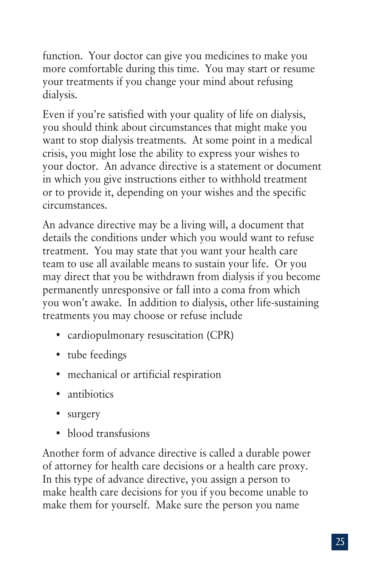function. Your doctor can give you medicines to make you more comfortable during this time. You may start or resume your treatments if you change your mind about refusing dialysis.

Even if you're satisfied with your quality of life on dialysis, you should think about circumstances that might make you want to stop dialysis treatments. At some point in a medical crisis, you might lose the ability to express your wishes to your doctor. An advance directive is a statement or document in which you give instructions either to withhold treatment or to provide it, depending on your wishes and the specific circumstances .

An advance directive may be a living will, a document that details the conditions under which you would want to refuse treatment. You may state that you want your health care team to use all available means to sustain your life. Or you may direct that you be withdrawn from dialysis if you become permanently unresponsive or fall into a coma from which you won't awake. In addition to dialysis, other life-sustaining treatments you may choose or refuse include

- cardiopulmonary resuscitation (CPR)
- tube feedings
- mechanical or artificial respiration
- antibiotics
- surgery
- blood transfusions

of attorney for health care decisions or a health care proxy. Another form of advance directive is called a durable power In this type of advance directive, you assign a person to make health care decisions for you if you become unable to make them for yourself. Make sure the person you name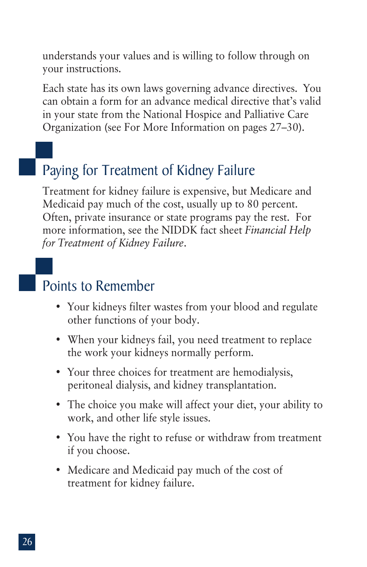understands your values and is willing to follow through on your instructions.

Each state has its own laws governing advance directives. You can obtain a form for an advance medical directive that's valid in your state from the National Hospice and Palliative Care Organization (see For More Information on pages 27–30) .

#### Paying for Treatment of Kidney Failure

Medicaid pay much of the cost, usually up to 80 percent. Treatment for kidney failure is expensive, but Medicare and Often, private insurance or state programs pay the rest. For more information, see the NIDDK fact sheet *Financial Help for Treatment of Kidney Failure* .

#### Points to Remember

- Your kidneys filter wastes from your blood and regulate other functions of your body .
- When your kidneys fail, you need treatment to replace the work your kidneys normally perform.
- Your three choices for treatment are hemodialysis, peritoneal dialysis, and kidney transplantation.
- The choice you make will affect your diet, your ability to work, and other life style issues.
- You have the right to refuse or withdraw from treatment if you choose.
- Medicare and Medicaid pay much of the cost of treatment for kidney failure.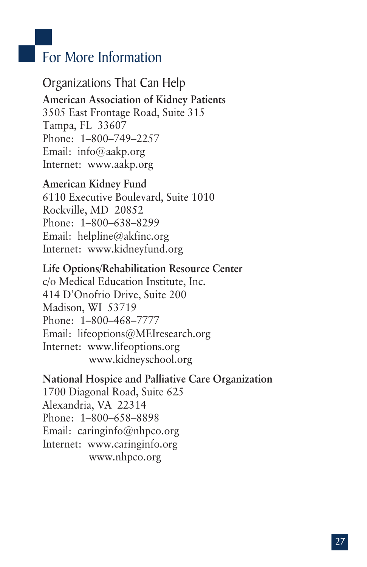# **For More Information**

# Organizations That Can Help

**American Association of Kidney Patients**  3505 East Frontage Road, Suite 315 Tampa, FL 33607 Phone: 1–800–749–2257 Email: info@aakp.org Internet: www.aakp.org

#### **American Kidney Fund**

6110 Executive Boulevard, Suite 1010 Rockville, MD 20852 Phone: 1–800–638–8299 Email: helpline@akfinc.org Internet: www.kidneyfund.org

#### **Life Options/Rehabilitation Resource Center**

c/o Medical Education Institute, Inc. 414 D'Onofrio Drive, Suite 200 Madison, WI 53719 Phone: 1–800–468–7777 Email: lifeoptions@MEIresearch .org Internet: www.lifeoptions.org www.kidneyschool.org

#### **National Hospice and Palliative Care Organization**

1700 Diagonal Road, Suite 625 Alexandria, VA 22314 Phone: 1–800–658–8898 Email: caringinfo@nhpco.org Internet: www.caringinfo.org www.nhpco.org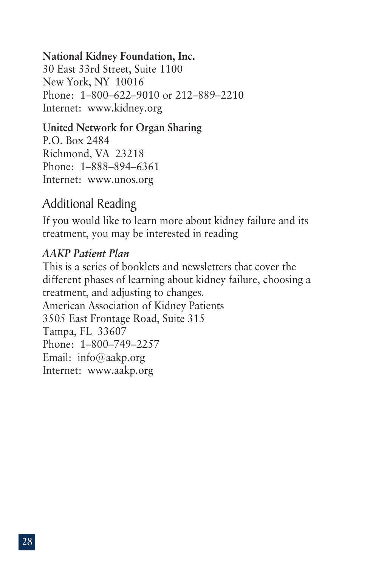#### **National Kidney Foundation, Inc.**

30 East 33rd Street, Suite 1100 New York, NY 10016 Phone: 1–800–622–9010 or 212–889–2210 Internet: www.kidney.org

#### **United Network for Organ Sharing**

P.O. Box 2484 Richmond, VA 23218 Phone: 1–888–894–6361 Internet: www.unos.org

#### Additional Reading

If you would like to learn more about kidney failure and its treatment, you may be interested in reading

#### *AAKP Patient Plan*

 different phases of learning about kidney failure, choosing a This is a series of booklets and newsletters that cover the treatment, and adjusting to changes. American Association of Kidney Patients 3505 East Frontage Road, Suite 315 Tampa, FL 33607 Phone: 1–800–749–2257 Email: info@aakp.org Internet: www.aakp.org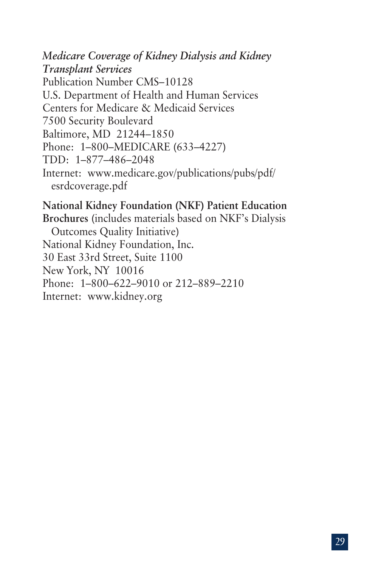*Medicare Coverage of Kidney Dialysis and Kidney Transplant Services*  Publication Number CMS–10128 U.S. Department of Health and Human Services Centers for Medicare & Medicaid Services 7500 Security Boulevard Baltimore, MD 21244–1850 Phone: 1–800–MEDICARE (633–4227) TDD: 1–877–486–2048 Internet: www.medicare.gov/publications/pubs/pdf/ esrdcoverage .pdf **National Kidney Foundation (NKF) Patient Education** 

**Brochures** (includes materials based on NKF's Dialysis Outcomes Quality Initiative) National Kidney Foundation, Inc. 30 East 33rd Street, Suite 1100 New York, NY 10016 Phone: 1–800–622–9010 or 212–889–2210 Internet: www.kidney.org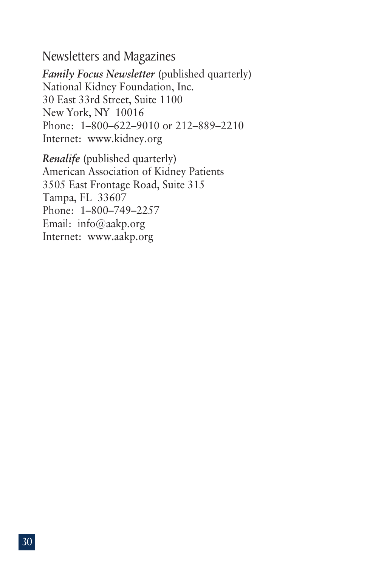#### Newsletters and Magazines

*Family Focus Newsletter* (published quarterly) National Kidney Foundation, Inc. 30 East 33rd Street, Suite 1100 New York, NY 10016 Phone: 1–800–622–9010 or 212–889–2210 Internet: www.kidney.org

*Renalife* (published quarterly) American Association of Kidney Patients 3505 East Frontage Road, Suite 315 Tampa, FL 33607 Phone: 1–800–749–2257 Email: info@aakp.org Internet: www.aakp.org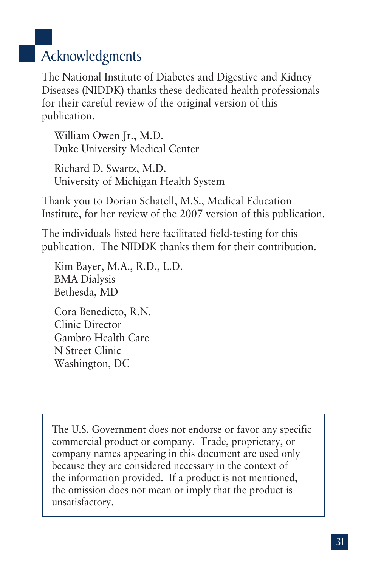# **Acknowledgments**

The National Institute of Diabetes and Digestive and Kidney Diseases (NIDDK) thanks these dedicated health professionals for their careful review of the original version of this publication.

William Owen Jr., M.D. Duke University Medical Center

Richard D. Swartz, M.D. University of Michigan Health System

Thank you to Dorian Schatell, M.S., Medical Education Institute, for her review of the 2007 version of this publication .

The individuals listed here facilitated field-testing for this publication. The NIDDK thanks them for their contribution.

Kim Bayer, M.A., R.D., L.D. BMA Dialysis Bethesda, MD

Cora Benedicto, R.N. Clinic Director Gambro Health Care N Street Clinic Washington, DC

The U.S. Government does not endorse or favor any specific commercial product or company. Trade, proprietary, or company names appearing in this document are used only because they are considered necessary in the context of the information provided. If a product is not mentioned, the omission does not mean or imply that the product is unsatisfactory.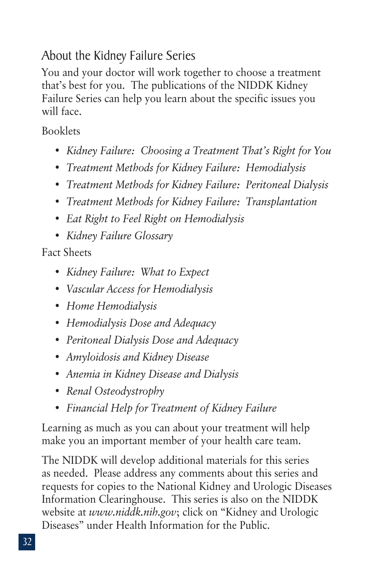#### About the Kidney Failure Series

You and your doctor will work together to choose a treatment that's best for you. The publications of the NIDDK Kidney Failure Series can help you learn about the specific issues you will face.

#### Booklets

- • *Kidney Failure: Choosing a Treatment That's Right for You*
- • *Treatment Methods for Kidney Failure: Hemodialysis*
- • *Treatment Methods for Kidney Failure: Peritoneal Dialysis*
- • *Treatment Methods for Kidney Failure: Transplantation*
- • *Eat Right to Feel Right on Hemodialysis*
- • *Kidney Failure Glossary*

Fact Sheets

- • *Kidney Failure: What to Expect*
- • *Vascular Access for Hemodialysis*
- *• Home Hemodialysis*
- • *Hemodialysis Dose and Adequacy*
- • *Peritoneal Dialysis Dose and Adequacy*
- • *Amyloidosis and Kidney Disease*
- • *Anemia in Kidney Disease and Dialysis*
- • *Renal Osteodystrophy*
- • *Financial Help for Treatment of Kidney Failure*

Learning as much as you can about your treatment will help make you an important member of your health care team.

The NIDDK will develop additional materials for this series as needed. Please address any comments about this series and requests for copies to the National Kidney and Urologic Diseases Information Clearinghouse. This series is also on the NIDDK website at *www.niddk.nih.gov*; click on "Kidney and Urologic Diseases" under Health Information for the Public.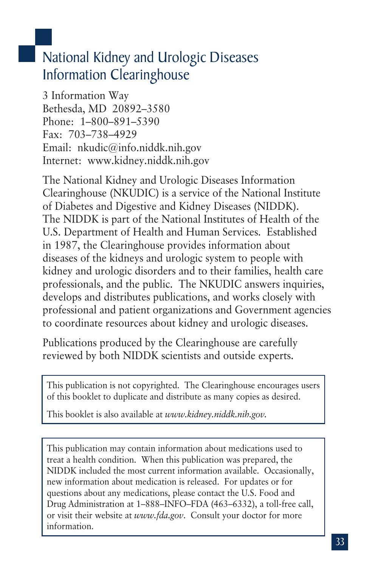# National Kidney and Urologic Diseases Information Clearinghouse

3 Information Way Bethesda, MD 20892–3580 Phone: 1–800–891–5390 Fax: 703–738–4929 Email: nkudic@info.niddk.nih.gov Internet: www.kidney.niddk.nih.gov

The National Kidney and Urologic Diseases Information Clearinghouse (NKUDIC) is a service of the National Institute of Diabetes and Digestive and Kidney Diseases (NIDDK) . The NIDDK is part of the National Institutes of Health of the U.S. Department of Health and Human Services. Established in 1987, the Clearinghouse provides information about diseases of the kidneys and urologic system to people with kidney and urologic disorders and to their families, health care professionals, and the public. The NKUDIC answers inquiries, develops and distributes publications, and works closely with professional and patient organizations and Government agencies to coordinate resources about kidney and urologic diseases .

Publications produced by the Clearinghouse are carefully reviewed by both NIDDK scientists and outside experts .

This publication is not copyrighted. The Clearinghouse encourages users of this booklet to duplicate and distribute as many copies as desired .

This booklet is also available at *www.kidney.niddk.nih.gov.* 

treat a health condition. When this publication was prepared, the or visit their website at *www.fda.gov* . Consult your doctor for more This publication may contain information about medications used to NIDDK included the most current information available. Occasionally, new information about medication is released. For updates or for questions about any medications, please contact the U.S. Food and Drug Administration at 1–888–INFO–FDA (463–6332), a toll-free call, information.

 $\overline{\phantom{a}}$